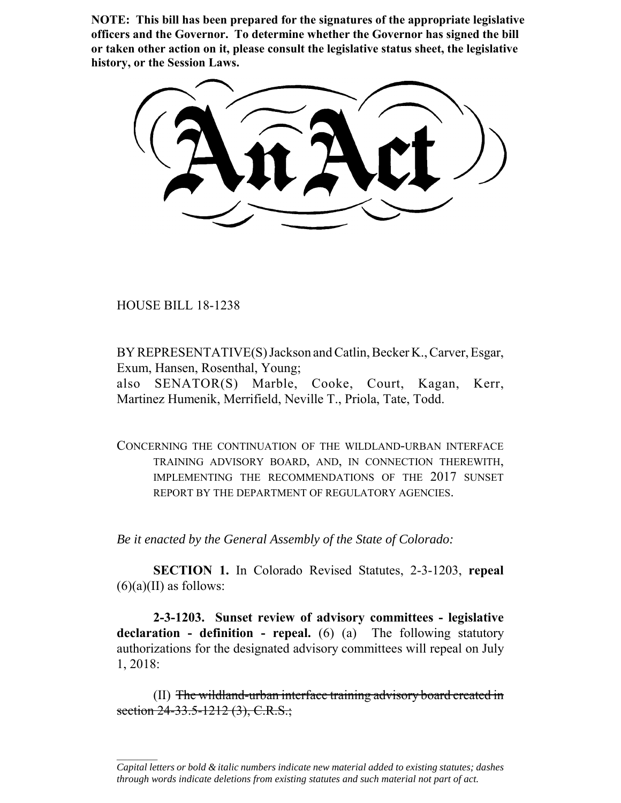**NOTE: This bill has been prepared for the signatures of the appropriate legislative officers and the Governor. To determine whether the Governor has signed the bill or taken other action on it, please consult the legislative status sheet, the legislative history, or the Session Laws.**

HOUSE BILL 18-1238

 $\frac{1}{2}$ 

BY REPRESENTATIVE(S) Jackson and Catlin, Becker K., Carver, Esgar, Exum, Hansen, Rosenthal, Young;

also SENATOR(S) Marble, Cooke, Court, Kagan, Kerr, Martinez Humenik, Merrifield, Neville T., Priola, Tate, Todd.

CONCERNING THE CONTINUATION OF THE WILDLAND-URBAN INTERFACE TRAINING ADVISORY BOARD, AND, IN CONNECTION THEREWITH, IMPLEMENTING THE RECOMMENDATIONS OF THE 2017 SUNSET REPORT BY THE DEPARTMENT OF REGULATORY AGENCIES.

*Be it enacted by the General Assembly of the State of Colorado:*

**SECTION 1.** In Colorado Revised Statutes, 2-3-1203, **repeal**  $(6)(a)(II)$  as follows:

**2-3-1203. Sunset review of advisory committees - legislative declaration - definition - repeal.** (6) (a) The following statutory authorizations for the designated advisory committees will repeal on July 1, 2018:

(II) The wildland-urban interface training advisory board created in section 24-33.5-1212 (3), C.R.S.;

*Capital letters or bold & italic numbers indicate new material added to existing statutes; dashes through words indicate deletions from existing statutes and such material not part of act.*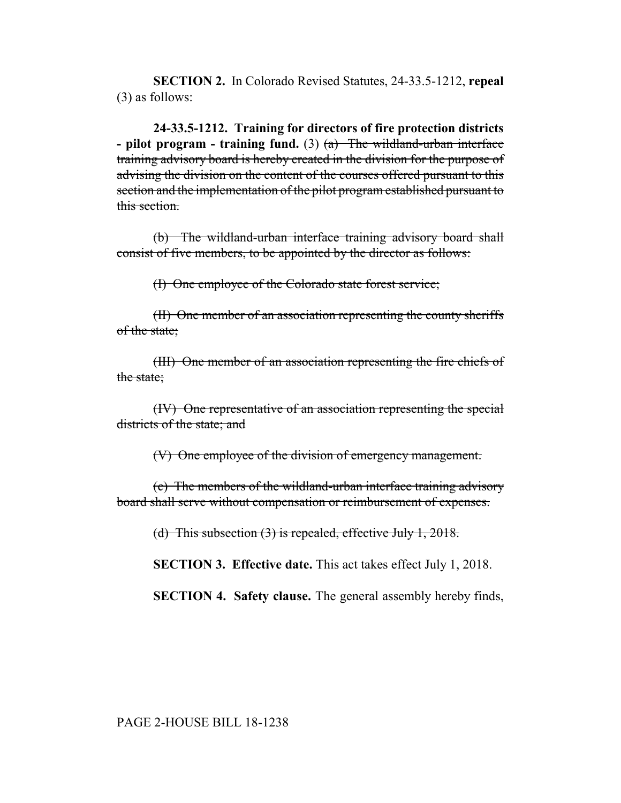**SECTION 2.** In Colorado Revised Statutes, 24-33.5-1212, **repeal** (3) as follows:

**24-33.5-1212. Training for directors of fire protection districts - pilot program - training fund.** (3) (a) The wildland-urban interface training advisory board is hereby created in the division for the purpose of advising the division on the content of the courses offered pursuant to this section and the implementation of the pilot program established pursuant to this section.

(b) The wildland-urban interface training advisory board shall consist of five members, to be appointed by the director as follows:

(I) One employee of the Colorado state forest service;

(II) One member of an association representing the county sheriffs of the state;

(III) One member of an association representing the fire chiefs of the state:

(IV) One representative of an association representing the special districts of the state; and

(V) One employee of the division of emergency management.

(c) The members of the wildland-urban interface training advisory board shall serve without compensation or reimbursement of expenses.

(d) This subsection  $(3)$  is repealed, effective July 1, 2018.

**SECTION 3. Effective date.** This act takes effect July 1, 2018.

**SECTION 4. Safety clause.** The general assembly hereby finds,

PAGE 2-HOUSE BILL 18-1238